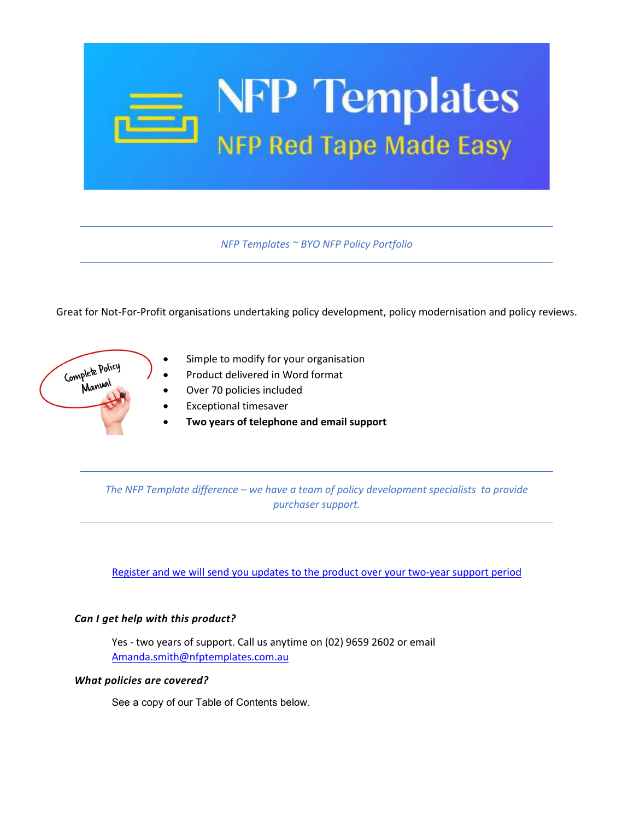

*NFP Templates ~ BYO NFP Policy Portfolio*

Great for Not-For-Profit organisations undertaking policy development, policy modernisation and policy reviews.



- Simple to modify for your organisation
- Product delivered in Word format
- Over 70 policies included
- Exceptional timesaver
- **Two years of telephone and email support**

*The NFP Template difference – we have a team of policy development specialists to provide purchaser support.* 

[Register and we will send you updates to the product over your two-year support period](http://eepurl.com/g8rhKX)

#### *Can I get help with this product?*

Yes - two years of support. Call us anytime on (02) 9659 2602 or email [Amanda.smith@nfptemplates.com.au](mailto:Amanda.smith@nfptemplates.com.au)

#### *What policies are covered?*

See a copy of our Table of Contents below.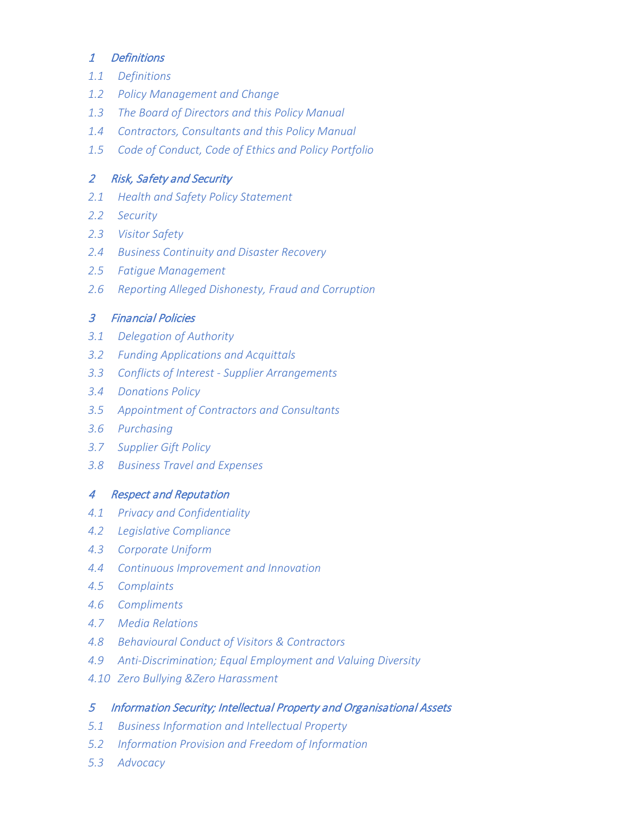# 1 Definitions

- *1.1 Definitions*
- *1.2 Policy Management and Change*
- *1.3 The Board of Directors and this Policy Manual*
- *1.4 Contractors, Consultants and this Policy Manual*
- *1.5 Code of Conduct, Code of Ethics and Policy Portfolio*

# 2 Risk, Safety and Security

- *2.1 Health and Safety Policy Statement*
- *2.2 Security*
- *2.3 Visitor Safety*
- *2.4 Business Continuity and Disaster Recovery*
- *2.5 Fatigue Management*
- *2.6 Reporting Alleged Dishonesty, Fraud and Corruption*

# 3 Financial Policies

- *3.1 Delegation of Authority*
- *3.2 Funding Applications and Acquittals*
- *3.3 Conflicts of Interest Supplier Arrangements*
- *3.4 Donations Policy*
- *3.5 Appointment of Contractors and Consultants*
- *3.6 Purchasing*
- *3.7 Supplier Gift Policy*
- *3.8 Business Travel and Expenses*

### 4 Respect and Reputation

- *4.1 Privacy and Confidentiality*
- *4.2 Legislative Compliance*
- *4.3 Corporate Uniform*
- *4.4 Continuous Improvement and Innovation*
- *4.5 Complaints*
- *4.6 Compliments*
- *4.7 Media Relations*
- *4.8 Behavioural Conduct of Visitors & Contractors*
- *4.9 Anti-Discrimination; Equal Employment and Valuing Diversity*
- *4.10 Zero Bullying &Zero Harassment*

### 5 Information Security; Intellectual Property and Organisational Assets

- *5.1 Business Information and Intellectual Property*
- *5.2 Information Provision and Freedom of Information*
- *5.3 Advocacy*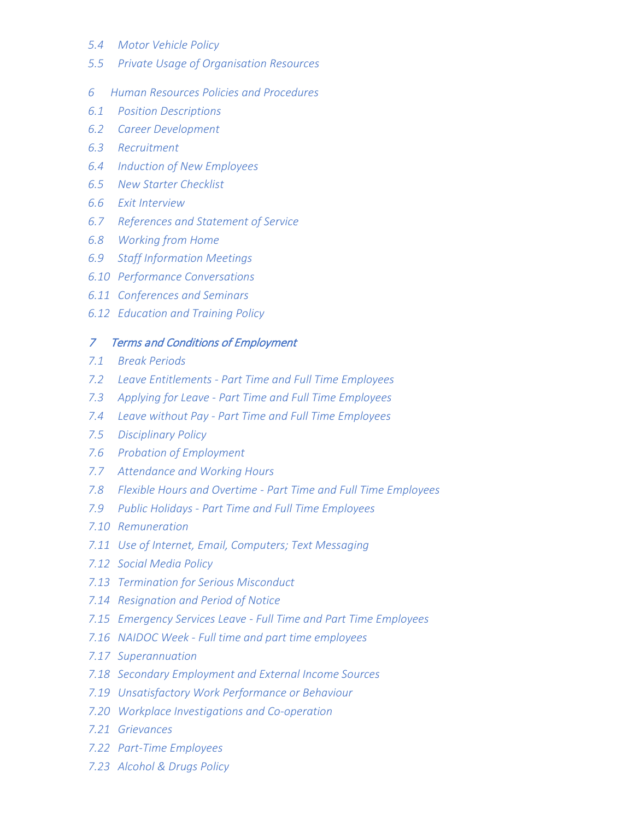- *5.4 Motor Vehicle Policy*
- *5.5 Private Usage of Organisation Resources*
- *6 Human Resources Policies and Procedures*
- *6.1 Position Descriptions*
- *6.2 Career Development*
- *6.3 Recruitment*
- *6.4 Induction of New Employees*
- *6.5 New Starter Checklist*
- *6.6 Exit Interview*
- *6.7 References and Statement of Service*
- *6.8 Working from Home*
- *6.9 Staff Information Meetings*
- *6.10 Performance Conversations*
- *6.11 Conferences and Seminars*
- *6.12 Education and Training Policy*

#### 7 Terms and Conditions of Employment

- *7.1 Break Periods*
- *7.2 Leave Entitlements Part Time and Full Time Employees*
- *7.3 Applying for Leave Part Time and Full Time Employees*
- *7.4 Leave without Pay Part Time and Full Time Employees*
- *7.5 Disciplinary Policy*
- *7.6 Probation of Employment*
- *7.7 Attendance and Working Hours*
- *7.8 Flexible Hours and Overtime Part Time and Full Time Employees*
- *7.9 Public Holidays Part Time and Full Time Employees*
- *7.10 Remuneration*
- *7.11 Use of Internet, Email, Computers; Text Messaging*
- *7.12 Social Media Policy*
- *7.13 Termination for Serious Misconduct*
- *7.14 Resignation and Period of Notice*
- *7.15 Emergency Services Leave Full Time and Part Time Employees*
- *7.16 NAIDOC Week Full time and part time employees*
- *7.17 Superannuation*
- *7.18 Secondary Employment and External Income Sources*
- *7.19 Unsatisfactory Work Performance or Behaviour*
- *7.20 Workplace Investigations and Co-operation*
- *7.21 Grievances*
- *7.22 Part-Time Employees*
- *7.23 Alcohol & Drugs Policy*